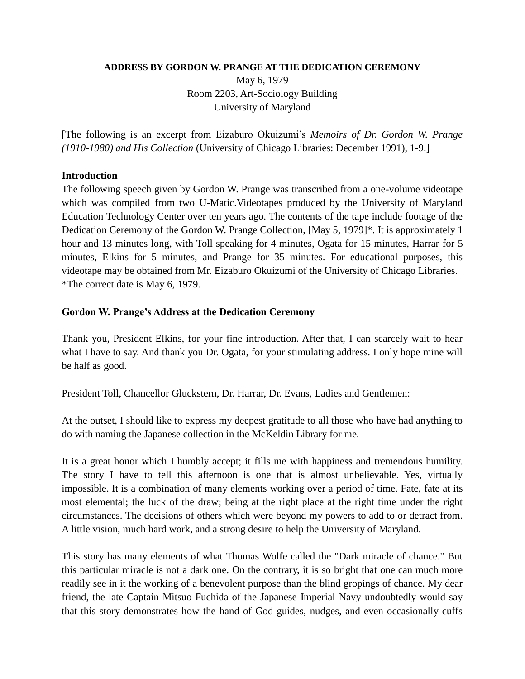## **ADDRESS BY GORDON W. PRANGE AT THE DEDICATION CEREMONY**

May 6, 1979 Room 2203, Art-Sociology Building University of Maryland

[The following is an excerpt from Eizaburo Okuizumi's *Memoirs of Dr. Gordon W. Prange (1910-1980) and His Collection* (University of Chicago Libraries: December 1991), 1-9.]

## **Introduction**

The following speech given by Gordon W. Prange was transcribed from a one-volume videotape which was compiled from two U-Matic.Videotapes produced by the University of Maryland Education Technology Center over ten years ago. The contents of the tape include footage of the Dedication Ceremony of the Gordon W. Prange Collection, [May 5, 1979]\*. It is approximately 1 hour and 13 minutes long, with Toll speaking for 4 minutes, Ogata for 15 minutes, Harrar for 5 minutes, Elkins for 5 minutes, and Prange for 35 minutes. For educational purposes, this videotape may be obtained from Mr. Eizaburo Okuizumi of the University of Chicago Libraries. \*The correct date is May 6, 1979.

## **Gordon W. Prange's Address at the Dedication Ceremony**

Thank you, President Elkins, for your fine introduction. After that, I can scarcely wait to hear what I have to say. And thank you Dr. Ogata, for your stimulating address. I only hope mine will be half as good.

President Toll, Chancellor Gluckstern, Dr. Harrar, Dr. Evans, Ladies and Gentlemen:

At the outset, I should like to express my deepest gratitude to all those who have had anything to do with naming the Japanese collection in the McKeldin Library for me.

It is a great honor which I humbly accept; it fills me with happiness and tremendous humility. The story I have to tell this afternoon is one that is almost unbelievable. Yes, virtually impossible. It is a combination of many elements working over a period of time. Fate, fate at its most elemental; the luck of the draw; being at the right place at the right time under the right circumstances. The decisions of others which were beyond my powers to add to or detract from. A little vision, much hard work, and a strong desire to help the University of Maryland.

This story has many elements of what Thomas Wolfe called the "Dark miracle of chance." But this particular miracle is not a dark one. On the contrary, it is so bright that one can much more readily see in it the working of a benevolent purpose than the blind gropings of chance. My dear friend, the late Captain Mitsuo Fuchida of the Japanese Imperial Navy undoubtedly would say that this story demonstrates how the hand of God guides, nudges, and even occasionally cuffs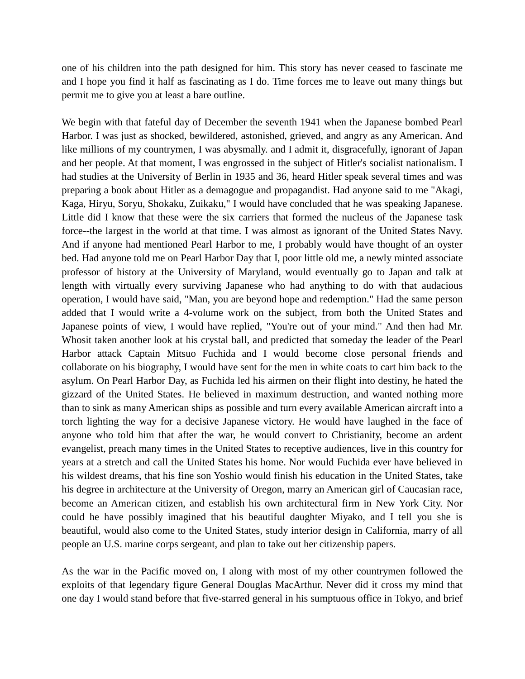one of his children into the path designed for him. This story has never ceased to fascinate me and I hope you find it half as fascinating as I do. Time forces me to leave out many things but permit me to give you at least a bare outline.

We begin with that fateful day of December the seventh 1941 when the Japanese bombed Pearl Harbor. I was just as shocked, bewildered, astonished, grieved, and angry as any American. And like millions of my countrymen, I was abysmally. and I admit it, disgracefully, ignorant of Japan and her people. At that moment, I was engrossed in the subject of Hitler's socialist nationalism. I had studies at the University of Berlin in 1935 and 36, heard Hitler speak several times and was preparing a book about Hitler as a demagogue and propagandist. Had anyone said to me "Akagi, Kaga, Hiryu, Soryu, Shokaku, Zuikaku," I would have concluded that he was speaking Japanese. Little did I know that these were the six carriers that formed the nucleus of the Japanese task force--the largest in the world at that time. I was almost as ignorant of the United States Navy. And if anyone had mentioned Pearl Harbor to me, I probably would have thought of an oyster bed. Had anyone told me on Pearl Harbor Day that I, poor little old me, a newly minted associate professor of history at the University of Maryland, would eventually go to Japan and talk at length with virtually every surviving Japanese who had anything to do with that audacious operation, I would have said, "Man, you are beyond hope and redemption." Had the same person added that I would write a 4-volume work on the subject, from both the United States and Japanese points of view, I would have replied, "You're out of your mind." And then had Mr. Whosit taken another look at his crystal ball, and predicted that someday the leader of the Pearl Harbor attack Captain Mitsuo Fuchida and I would become close personal friends and collaborate on his biography, I would have sent for the men in white coats to cart him back to the asylum. On Pearl Harbor Day, as Fuchida led his airmen on their flight into destiny, he hated the gizzard of the United States. He believed in maximum destruction, and wanted nothing more than to sink as many American ships as possible and turn every available American aircraft into a torch lighting the way for a decisive Japanese victory. He would have laughed in the face of anyone who told him that after the war, he would convert to Christianity, become an ardent evangelist, preach many times in the United States to receptive audiences, live in this country for years at a stretch and call the United States his home. Nor would Fuchida ever have believed in his wildest dreams, that his fine son Yoshio would finish his education in the United States, take his degree in architecture at the University of Oregon, marry an American girl of Caucasian race, become an American citizen, and establish his own architectural firm in New York City. Nor could he have possibly imagined that his beautiful daughter Miyako, and I tell you she is beautiful, would also come to the United States, study interior design in California, marry of all people an U.S. marine corps sergeant, and plan to take out her citizenship papers.

As the war in the Pacific moved on, I along with most of my other countrymen followed the exploits of that legendary figure General Douglas MacArthur. Never did it cross my mind that one day I would stand before that five-starred general in his sumptuous office in Tokyo, and brief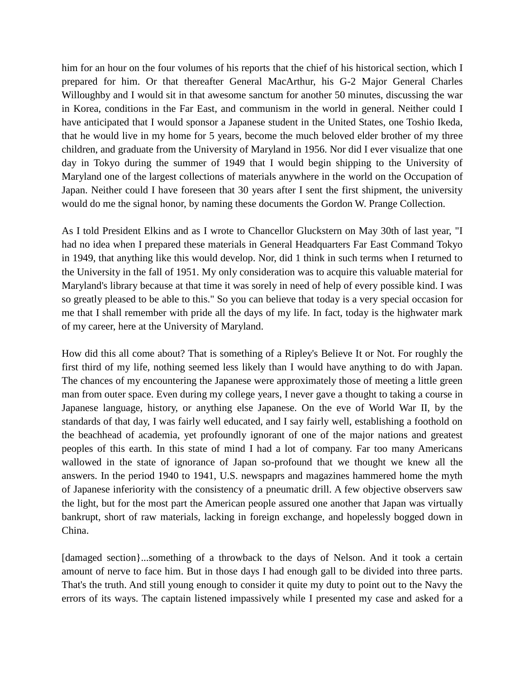him for an hour on the four volumes of his reports that the chief of his historical section, which I prepared for him. Or that thereafter General MacArthur, his G-2 Major General Charles Willoughby and I would sit in that awesome sanctum for another 50 minutes, discussing the war in Korea, conditions in the Far East, and communism in the world in general. Neither could I have anticipated that I would sponsor a Japanese student in the United States, one Toshio Ikeda, that he would live in my home for 5 years, become the much beloved elder brother of my three children, and graduate from the University of Maryland in 1956. Nor did I ever visualize that one day in Tokyo during the summer of 1949 that I would begin shipping to the University of Maryland one of the largest collections of materials anywhere in the world on the Occupation of Japan. Neither could I have foreseen that 30 years after I sent the first shipment, the university would do me the signal honor, by naming these documents the Gordon W. Prange Collection.

As I told President Elkins and as I wrote to Chancellor Gluckstern on May 30th of last year, "I had no idea when I prepared these materials in General Headquarters Far East Command Tokyo in 1949, that anything like this would develop. Nor, did 1 think in such terms when I returned to the University in the fall of 1951. My only consideration was to acquire this valuable material for Maryland's library because at that time it was sorely in need of help of every possible kind. I was so greatly pleased to be able to this." So you can believe that today is a very special occasion for me that I shall remember with pride all the days of my life. In fact, today is the highwater mark of my career, here at the University of Maryland.

How did this all come about? That is something of a Ripley's Believe It or Not. For roughly the first third of my life, nothing seemed less likely than I would have anything to do with Japan. The chances of my encountering the Japanese were approximately those of meeting a little green man from outer space. Even during my college years, I never gave a thought to taking a course in Japanese language, history, or anything else Japanese. On the eve of World War II, by the standards of that day, I was fairly well educated, and I say fairly well, establishing a foothold on the beachhead of academia, yet profoundly ignorant of one of the major nations and greatest peoples of this earth. In this state of mind I had a lot of company. Far too many Americans wallowed in the state of ignorance of Japan so-profound that we thought we knew all the answers. In the period 1940 to 1941, U.S. newspaprs and magazines hammered home the myth of Japanese inferiority with the consistency of a pneumatic drill. A few objective observers saw the light, but for the most part the American people assured one another that Japan was virtually bankrupt, short of raw materials, lacking in foreign exchange, and hopelessly bogged down in China.

[damaged section]...something of a throwback to the days of Nelson. And it took a certain amount of nerve to face him. But in those days I had enough gall to be divided into three parts. That's the truth. And still young enough to consider it quite my duty to point out to the Navy the errors of its ways. The captain listened impassively while I presented my case and asked for a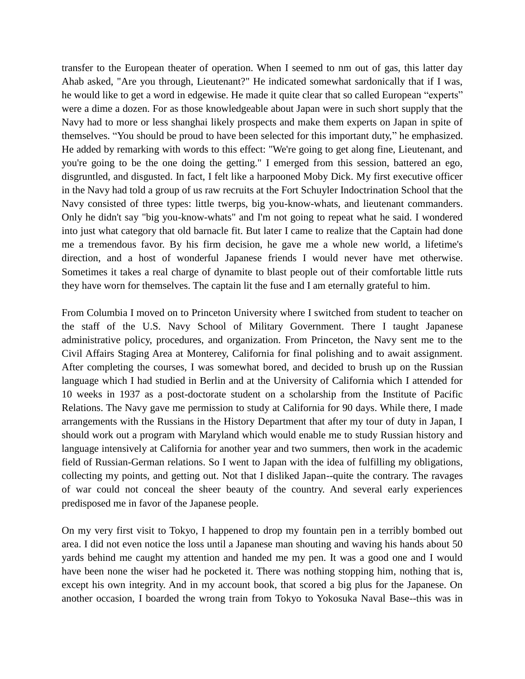transfer to the European theater of operation. When I seemed to nm out of gas, this latter day Ahab asked, "Are you through, Lieutenant?" He indicated somewhat sardonically that if I was, he would like to get a word in edgewise. He made it quite clear that so called European "experts" were a dime a dozen. For as those knowledgeable about Japan were in such short supply that the Navy had to more or less shanghai likely prospects and make them experts on Japan in spite of themselves. "You should be proud to have been selected for this important duty," he emphasized. He added by remarking with words to this effect: "We're going to get along fine, Lieutenant, and you're going to be the one doing the getting." I emerged from this session, battered an ego, disgruntled, and disgusted. In fact, I felt like a harpooned Moby Dick. My first executive officer in the Navy had told a group of us raw recruits at the Fort Schuyler Indoctrination School that the Navy consisted of three types: little twerps, big you-know-whats, and lieutenant commanders. Only he didn't say "big you-know-whats" and I'm not going to repeat what he said. I wondered into just what category that old barnacle fit. But later I came to realize that the Captain had done me a tremendous favor. By his firm decision, he gave me a whole new world, a lifetime's direction, and a host of wonderful Japanese friends I would never have met otherwise. Sometimes it takes a real charge of dynamite to blast people out of their comfortable little ruts they have worn for themselves. The captain lit the fuse and I am eternally grateful to him.

From Columbia I moved on to Princeton University where I switched from student to teacher on the staff of the U.S. Navy School of Military Government. There I taught Japanese administrative policy, procedures, and organization. From Princeton, the Navy sent me to the Civil Affairs Staging Area at Monterey, California for final polishing and to await assignment. After completing the courses, I was somewhat bored, and decided to brush up on the Russian language which I had studied in Berlin and at the University of California which I attended for 10 weeks in 1937 as a post-doctorate student on a scholarship from the Institute of Pacific Relations. The Navy gave me permission to study at California for 90 days. While there, I made arrangements with the Russians in the History Department that after my tour of duty in Japan, I should work out a program with Maryland which would enable me to study Russian history and language intensively at California for another year and two summers, then work in the academic field of Russian-German relations. So I went to Japan with the idea of fulfilling my obligations, collecting my points, and getting out. Not that I disliked Japan--quite the contrary. The ravages of war could not conceal the sheer beauty of the country. And several early experiences predisposed me in favor of the Japanese people.

On my very first visit to Tokyo, I happened to drop my fountain pen in a terribly bombed out area. I did not even notice the loss until a Japanese man shouting and waving his hands about 50 yards behind me caught my attention and handed me my pen. It was a good one and I would have been none the wiser had he pocketed it. There was nothing stopping him, nothing that is, except his own integrity. And in my account book, that scored a big plus for the Japanese. On another occasion, I boarded the wrong train from Tokyo to Yokosuka Naval Base--this was in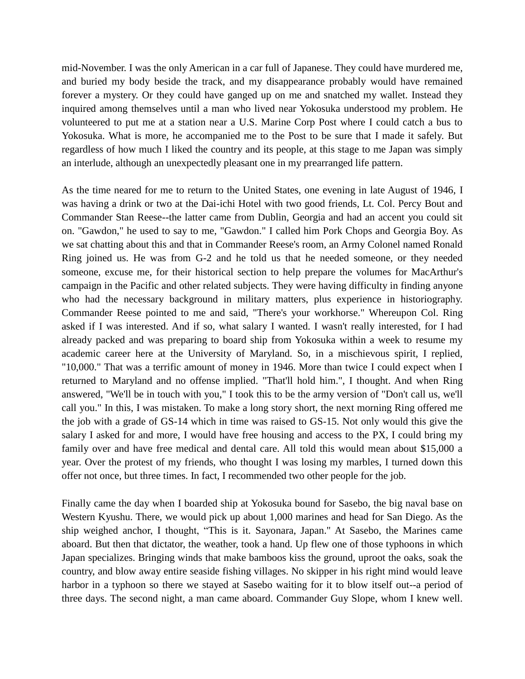mid-November. I was the only American in a car full of Japanese. They could have murdered me, and buried my body beside the track, and my disappearance probably would have remained forever a mystery. Or they could have ganged up on me and snatched my wallet. Instead they inquired among themselves until a man who lived near Yokosuka understood my problem. He volunteered to put me at a station near a U.S. Marine Corp Post where I could catch a bus to Yokosuka. What is more, he accompanied me to the Post to be sure that I made it safely. But regardless of how much I liked the country and its people, at this stage to me Japan was simply an interlude, although an unexpectedly pleasant one in my prearranged life pattern.

As the time neared for me to return to the United States, one evening in late August of 1946, I was having a drink or two at the Dai-ichi Hotel with two good friends, Lt. Col. Percy Bout and Commander Stan Reese--the latter came from Dublin, Georgia and had an accent you could sit on. "Gawdon," he used to say to me, "Gawdon." I called him Pork Chops and Georgia Boy. As we sat chatting about this and that in Commander Reese's room, an Army Colonel named Ronald Ring joined us. He was from G-2 and he told us that he needed someone, or they needed someone, excuse me, for their historical section to help prepare the volumes for MacArthur's campaign in the Pacific and other related subjects. They were having difficulty in finding anyone who had the necessary background in military matters, plus experience in historiography. Commander Reese pointed to me and said, "There's your workhorse." Whereupon Col. Ring asked if I was interested. And if so, what salary I wanted. I wasn't really interested, for I had already packed and was preparing to board ship from Yokosuka within a week to resume my academic career here at the University of Maryland. So, in a mischievous spirit, I replied, "10,000." That was a terrific amount of money in 1946. More than twice I could expect when I returned to Maryland and no offense implied. "That'll hold him.", I thought. And when Ring answered, "We'll be in touch with you," I took this to be the army version of "Don't call us, we'll call you." In this, I was mistaken. To make a long story short, the next morning Ring offered me the job with a grade of GS-14 which in time was raised to GS-15. Not only would this give the salary I asked for and more, I would have free housing and access to the PX, I could bring my family over and have free medical and dental care. All told this would mean about \$15,000 a year. Over the protest of my friends, who thought I was losing my marbles, I turned down this offer not once, but three times. In fact, I recommended two other people for the job.

Finally came the day when I boarded ship at Yokosuka bound for Sasebo, the big naval base on Western Kyushu. There, we would pick up about 1,000 marines and head for San Diego. As the ship weighed anchor, I thought, "This is it. Sayonara, Japan." At Sasebo, the Marines came aboard. But then that dictator, the weather, took a hand. Up flew one of those typhoons in which Japan specializes. Bringing winds that make bamboos kiss the ground, uproot the oaks, soak the country, and blow away entire seaside fishing villages. No skipper in his right mind would leave harbor in a typhoon so there we stayed at Sasebo waiting for it to blow itself out--a period of three days. The second night, a man came aboard. Commander Guy Slope, whom I knew well.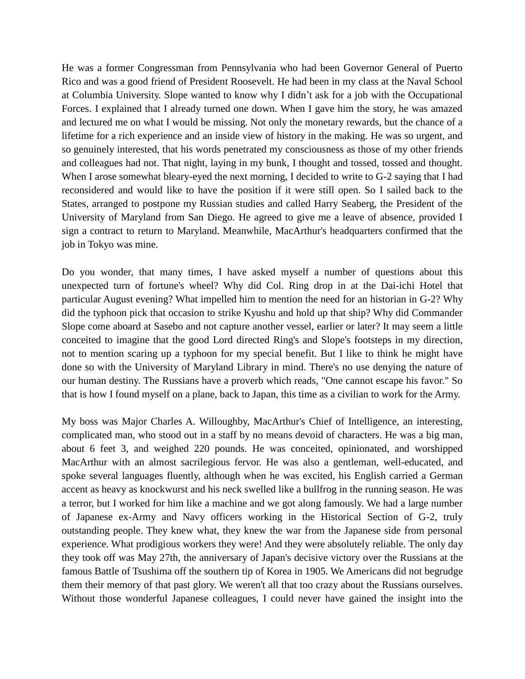He was a former Congressman from Pennsylvania who had been Governor General of Puerto Rico and was a good friend of President Roosevelt. He had been in my class at the Naval School at Columbia University. Slope wanted to know why I didn't ask for a job with the Occupational Forces. I explained that I already turned one down. When I gave him the story, he was amazed and lectured me on what I would be missing. Not only the monetary rewards, but the chance of a lifetime for a rich experience and an inside view of history in the making. He was so urgent, and so genuinely interested, that his words penetrated my consciousness as those of my other friends and colleagues had not. That night, laying in my bunk, I thought and tossed, tossed and thought. When I arose somewhat bleary-eyed the next morning, I decided to write to G-2 saying that I had reconsidered and would like to have the position if it were still open. So I sailed back to the States, arranged to postpone my Russian studies and called Harry Seaberg, the President of the University of Maryland from San Diego. He agreed to give me a leave of absence, provided I sign a contract to return to Maryland. Meanwhile, MacArthur's headquarters confirmed that the job in Tokyo was mine.

Do you wonder, that many times, I have asked myself a number of questions about this unexpected turn of fortune's wheel? Why did Col. Ring drop in at the Dai-ichi Hotel that particular August evening? What impelled him to mention the need for an historian in G-2? Why did the typhoon pick that occasion to strike Kyushu and hold up that ship? Why did Commander Slope come aboard at Sasebo and not capture another vessel, earlier or later? It may seem a little conceited to imagine that the good Lord directed Ring's and Slope's footsteps in my direction, not to mention scaring up a typhoon for my special benefit. But I like to think he might have done so with the University of Maryland Library in mind. There's no use denying the nature of our human destiny. The Russians have a proverb which reads, "One cannot escape his favor." So that is how I found myself on a plane, back to Japan, this time as a civilian to work for the Army.

My boss was Major Charles A. Willoughby, MacArthur's Chief of Intelligence, an interesting, complicated man, who stood out in a staff by no means devoid of characters. He was a big man, about 6 feet 3, and weighed 220 pounds. He was conceited, opinionated, and worshipped MacArthur with an almost sacrilegious fervor. He was also a gentleman, well-educated, and spoke several languages fluently, although when he was excited, his English carried a German accent as heavy as knockwurst and his neck swelled like a bullfrog in the running season. He was a terror, but I worked for him like a machine and we got along famously. We had a large number of Japanese ex-Army and Navy officers working in the Historical Section of G-2, truly outstanding people. They knew what, they knew the war from the Japanese side from personal experience. What prodigious workers they were! And they were absolutely reliable. The only day they took off was May 27th, the anniversary of Japan's decisive victory over the Russians at the famous Battle of Tsushima off the southern tip of Korea in 1905. We Americans did not begrudge them their memory of that past glory. We weren't all that too crazy about the Russians ourselves. Without those wonderful Japanese colleagues, I could never have gained the insight into the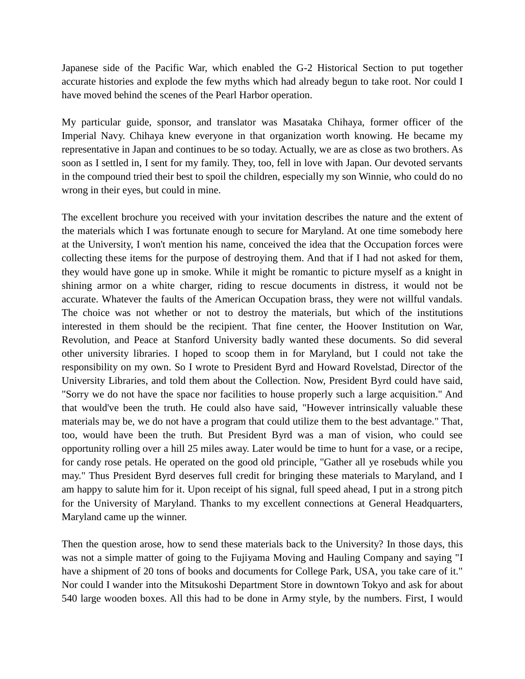Japanese side of the Pacific War, which enabled the G-2 Historical Section to put together accurate histories and explode the few myths which had already begun to take root. Nor could I have moved behind the scenes of the Pearl Harbor operation.

My particular guide, sponsor, and translator was Masataka Chihaya, former officer of the Imperial Navy. Chihaya knew everyone in that organization worth knowing. He became my representative in Japan and continues to be so today. Actually, we are as close as two brothers. As soon as I settled in, I sent for my family. They, too, fell in love with Japan. Our devoted servants in the compound tried their best to spoil the children, especially my son Winnie, who could do no wrong in their eyes, but could in mine.

The excellent brochure you received with your invitation describes the nature and the extent of the materials which I was fortunate enough to secure for Maryland. At one time somebody here at the University, I won't mention his name, conceived the idea that the Occupation forces were collecting these items for the purpose of destroying them. And that if I had not asked for them, they would have gone up in smoke. While it might be romantic to picture myself as a knight in shining armor on a white charger, riding to rescue documents in distress, it would not be accurate. Whatever the faults of the American Occupation brass, they were not willful vandals. The choice was not whether or not to destroy the materials, but which of the institutions interested in them should be the recipient. That fine center, the Hoover Institution on War, Revolution, and Peace at Stanford University badly wanted these documents. So did several other university libraries. I hoped to scoop them in for Maryland, but I could not take the responsibility on my own. So I wrote to President Byrd and Howard Rovelstad, Director of the University Libraries, and told them about the Collection. Now, President Byrd could have said, "Sorry we do not have the space nor facilities to house properly such a large acquisition." And that would've been the truth. He could also have said, "However intrinsically valuable these materials may be, we do not have a program that could utilize them to the best advantage." That, too, would have been the truth. But President Byrd was a man of vision, who could see opportunity rolling over a hill 25 miles away. Later would be time to hunt for a vase, or a recipe, for candy rose petals. He operated on the good old principle, "Gather all ye rosebuds while you may." Thus President Byrd deserves full credit for bringing these materials to Maryland, and I am happy to salute him for it. Upon receipt of his signal, full speed ahead, I put in a strong pitch for the University of Maryland. Thanks to my excellent connections at General Headquarters, Maryland came up the winner.

Then the question arose, how to send these materials back to the University? In those days, this was not a simple matter of going to the Fujiyama Moving and Hauling Company and saying "I have a shipment of 20 tons of books and documents for College Park, USA, you take care of it." Nor could I wander into the Mitsukoshi Department Store in downtown Tokyo and ask for about 540 large wooden boxes. All this had to be done in Army style, by the numbers. First, I would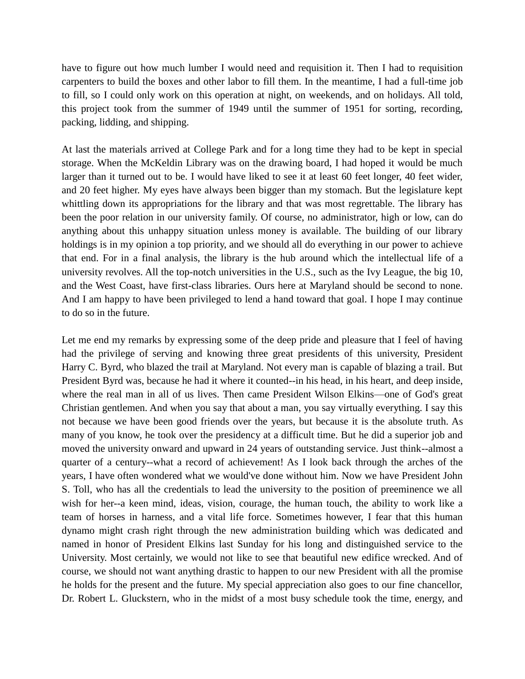have to figure out how much lumber I would need and requisition it. Then I had to requisition carpenters to build the boxes and other labor to fill them. In the meantime, I had a full-time job to fill, so I could only work on this operation at night, on weekends, and on holidays. All told, this project took from the summer of 1949 until the summer of 1951 for sorting, recording, packing, lidding, and shipping.

At last the materials arrived at College Park and for a long time they had to be kept in special storage. When the McKeldin Library was on the drawing board, I had hoped it would be much larger than it turned out to be. I would have liked to see it at least 60 feet longer, 40 feet wider, and 20 feet higher. My eyes have always been bigger than my stomach. But the legislature kept whittling down its appropriations for the library and that was most regrettable. The library has been the poor relation in our university family. Of course, no administrator, high or low, can do anything about this unhappy situation unless money is available. The building of our library holdings is in my opinion a top priority, and we should all do everything in our power to achieve that end. For in a final analysis, the library is the hub around which the intellectual life of a university revolves. All the top-notch universities in the U.S., such as the Ivy League, the big 10, and the West Coast, have first-class libraries. Ours here at Maryland should be second to none. And I am happy to have been privileged to lend a hand toward that goal. I hope I may continue to do so in the future.

Let me end my remarks by expressing some of the deep pride and pleasure that I feel of having had the privilege of serving and knowing three great presidents of this university, President Harry C. Byrd, who blazed the trail at Maryland. Not every man is capable of blazing a trail. But President Byrd was, because he had it where it counted--in his head, in his heart, and deep inside, where the real man in all of us lives. Then came President Wilson Elkins—one of God's great Christian gentlemen. And when you say that about a man, you say virtually everything. I say this not because we have been good friends over the years, but because it is the absolute truth. As many of you know, he took over the presidency at a difficult time. But he did a superior job and moved the university onward and upward in 24 years of outstanding service. Just think--almost a quarter of a century--what a record of achievement! As I look back through the arches of the years, I have often wondered what we would've done without him. Now we have President John S. Toll, who has all the credentials to lead the university to the position of preeminence we all wish for her--a keen mind, ideas, vision, courage, the human touch, the ability to work like a team of horses in harness, and a vital life force. Sometimes however, I fear that this human dynamo might crash right through the new administration building which was dedicated and named in honor of President Elkins last Sunday for his long and distinguished service to the University. Most certainly, we would not like to see that beautiful new edifice wrecked. And of course, we should not want anything drastic to happen to our new President with all the promise he holds for the present and the future. My special appreciation also goes to our fine chancellor, Dr. Robert L. Gluckstern, who in the midst of a most busy schedule took the time, energy, and